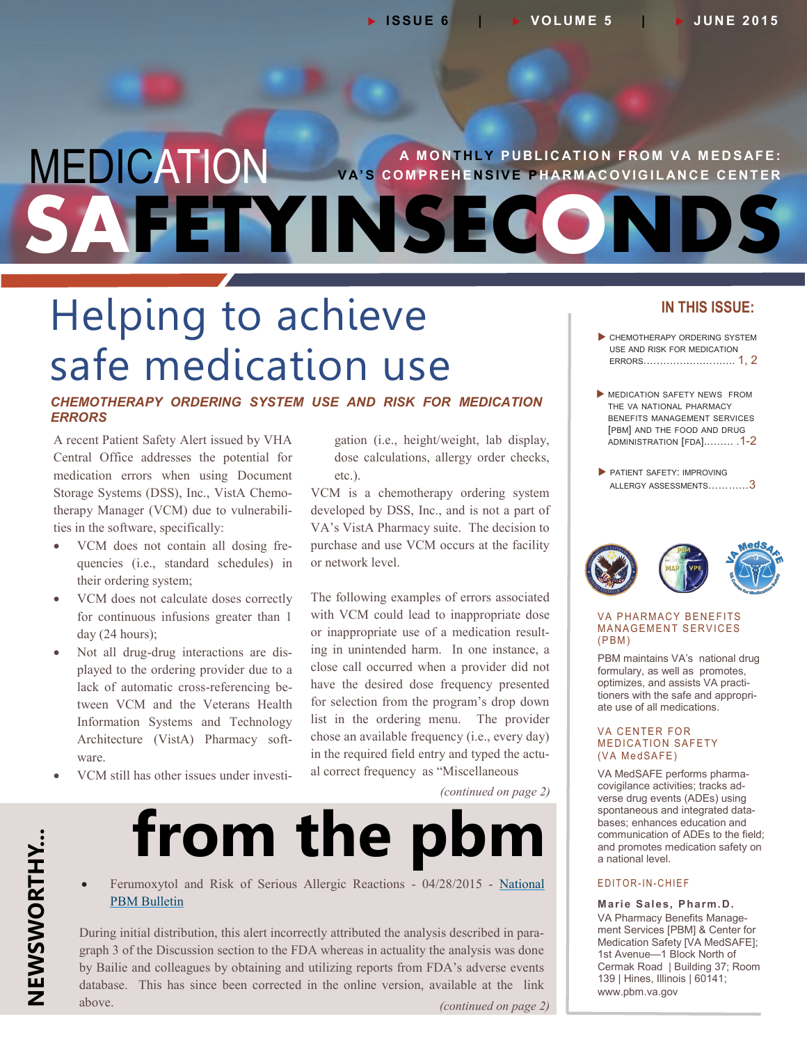# **MEDICATION** VA'S COMPREHENSIVE PHARMACOVIGILANCE CENTER FETYINSECO

## Helping to achieve safe medication use

### *CHEMOTHERAPY ORDERING SYSTEM USE AND RISK FOR MEDICATION ERRORS*

A recent Patient Safety Alert issued by VHA Central Office addresses the potential for medication errors when using Document Storage Systems (DSS), Inc., VistA Chemotherapy Manager (VCM) due to vulnerabilities in the software, specifically:

- VCM does not contain all dosing frequencies (i.e., standard schedules) in their ordering system;
- VCM does not calculate doses correctly for continuous infusions greater than 1 day (24 hours);
- Not all drug-drug interactions are displayed to the ordering provider due to a lack of automatic cross-referencing between VCM and the Veterans Health Information Systems and Technology Architecture (VistA) Pharmacy software.
- VCM still has other issues under investi-

gation (i.e., height/weight, lab display, dose calculations, allergy order checks, etc.).

VCM is a chemotherapy ordering system developed by DSS, Inc., and is not a part of VA's VistA Pharmacy suite. The decision to purchase and use VCM occurs at the facility or network level.

The following examples of errors associated with VCM could lead to inappropriate dose or inappropriate use of a medication resulting in unintended harm. In one instance, a close call occurred when a provider did not have the desired dose frequency presented for selection from the program's drop down list in the ordering menu. The provider chose an available frequency (i.e., every day) in the required field entry and typed the actual correct frequency as "Miscellaneous

*(continued on page 2)*

# **from the pbm**

 Ferumoxytol and Risk of Serious Allergic Reactions - 04/28/2015 - [National](http://www.pbm.va.gov/PBM/vacenterformedicationsafety/nationalpbmbulletin/Ferumoxytol_and_Risk_for_Serious_Allergic_Reactions_NATIONAL_PBM_BULLETIN_FINAL_042815.pdf)  [PBM Bulletin](http://www.pbm.va.gov/PBM/vacenterformedicationsafety/nationalpbmbulletin/Ferumoxytol_and_Risk_for_Serious_Allergic_Reactions_NATIONAL_PBM_BULLETIN_FINAL_042815.pdf) 

During initial distribution, this alert incorrectly attributed the analysis described in paragraph 3 of the Discussion section to the FDA whereas in actuality the analysis was done by Bailie and colleagues by obtaining and utilizing reports from FDA's adverse events database. This has since been corrected in the online version, available at the link above. *(continued on page 2)*

### **IN THIS ISSUE:**

- CHEMOTHERAPY ORDERING SYSTEM USE AND RISK FOR MEDICATION ERRORS………………………. 1, 2
- **MEDICATION SAFETY NEWS FROM** THE VA NATIONAL PHARMACY BENEFITS MANAGEMENT SERVICES [PBM] AND THE FOOD AND DRUG [ADMINISTRATION](#page-1-0) [FDA]..……. .1-2
- **PATIENT SAFETY: IMPROVING** ALLERGY [ASSESSMENTS](#page-2-0)…………3



#### **VA PHARMACY BENEFITS MANAGEMENT SERVICES**  $(PBM)$

PBM maintains VA's national drug formulary, as well as promotes, optimizes, and assists VA practitioners with the safe and appropriate use of all medications.

#### **VA CENTER FOR MEDICATION SAFETY** (VA MedSAFE)

VA MedSAFE performs pharmacovigilance activities; tracks adverse drug events (ADEs) using spontaneous and integrated databases; enhances education and communication of ADEs to the field; and promotes medication safety on a national level.

### E D I T O R - I N - C H I E F

**Marie Sales, Pharm.D.** VA Pharmacy Benefits Management Services [PBM] & Center for Medication Safety [VA MedSAFE]; 1st Avenue—1 Block North of Cermak Road | Building 37; Room 139 | Hines, Illinois | 60141; [www.pbm.va.gov](https://www.pbm.va.gov/)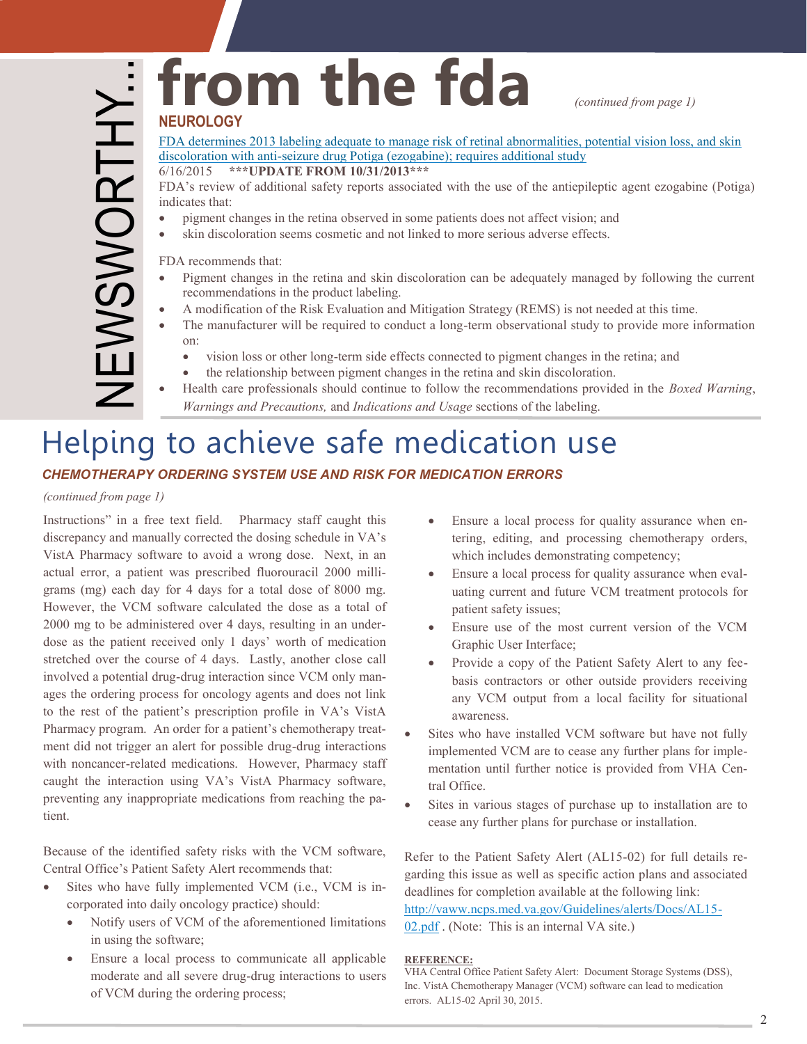### <span id="page-1-0"></span>from the fda *continued from page 1***) NEUROLOGY**

### [FDA determines 2013 labeling adequate to manage risk of retinal abnormalities, potential vision loss, and skin](http://www.fda.gov/Drugs/DrugSafety/ucm451166.htm)  discoloration with anti-seizure drug Potiga (ezogabine); requires additional study

6/16/2015 **\*\*\*UPDATE FROM 10/31/2013\*\*\***

FDA's review of additional safety reports associated with the use of the antiepileptic agent ezogabine (Potiga) indicates that:

- pigment changes in the retina observed in some patients does not affect vision; and
- skin discoloration seems cosmetic and not linked to more serious adverse effects.

FDA recommends that:

- Pigment changes in the retina and skin discoloration can be adequately managed by following the current recommendations in the product labeling.
- A modification of the Risk Evaluation and Mitigation Strategy (REMS) is not needed at this time.
- The manufacturer will be required to conduct a long-term observational study to provide more information on:
	- vision loss or other long-term side effects connected to pigment changes in the retina; and
	- the relationship between pigment changes in the retina and skin discoloration.
- Health care professionals should continue to follow the recommendations provided in the *Boxed Warning*, *Warnings and Precautions,* and *Indications and Usage* sections of the labeling.

## Helping to achieve safe medication use

### *CHEMOTHERAPY ORDERING SYSTEM USE AND RISK FOR MEDICATION ERRORS*

*(continued from page 1)*

Instructions" in a free text field. Pharmacy staff caught this discrepancy and manually corrected the dosing schedule in VA's VistA Pharmacy software to avoid a wrong dose. Next, in an actual error, a patient was prescribed fluorouracil 2000 milligrams (mg) each day for 4 days for a total dose of 8000 mg. However, the VCM software calculated the dose as a total of 2000 mg to be administered over 4 days, resulting in an underdose as the patient received only 1 days' worth of medication stretched over the course of 4 days. Lastly, another close call involved a potential drug-drug interaction since VCM only manages the ordering process for oncology agents and does not link to the rest of the patient's prescription profile in VA's VistA Pharmacy program. An order for a patient's chemotherapy treatment did not trigger an alert for possible drug-drug interactions with noncancer-related medications. However, Pharmacy staff caught the interaction using VA's VistA Pharmacy software, preventing any inappropriate medications from reaching the patient.

Because of the identified safety risks with the VCM software, Central Office's Patient Safety Alert recommends that:

- Sites who have fully implemented VCM (i.e., VCM is incorporated into daily oncology practice) should:
	- Notify users of VCM of the aforementioned limitations in using the software;
	- Ensure a local process to communicate all applicable moderate and all severe drug-drug interactions to users of VCM during the ordering process;
- Ensure a local process for quality assurance when entering, editing, and processing chemotherapy orders, which includes demonstrating competency;
- Ensure a local process for quality assurance when evaluating current and future VCM treatment protocols for patient safety issues;
- Ensure use of the most current version of the VCM Graphic User Interface;
- Provide a copy of the Patient Safety Alert to any feebasis contractors or other outside providers receiving any VCM output from a local facility for situational awareness.
- Sites who have installed VCM software but have not fully implemented VCM are to cease any further plans for implementation until further notice is provided from VHA Central Office.
- Sites in various stages of purchase up to installation are to cease any further plans for purchase or installation.

Refer to the Patient Safety Alert (AL15-02) for full details re garding this issue as well as specific action plans and associated deadlines for completion available at the following link:

[http://vaww.ncps.med.va.gov/Guidelines/alerts/Docs/AL15](http://vaww.ncps.med.va.gov/Guidelines/alerts/Docs/AL15-02.pdf)-

[02.pdf](http://vaww.ncps.med.va.gov/Guidelines/alerts/Docs/AL15-02.pdf) . (Note: This is an internal VA site.)

### **REFERENCE:**

VHA Central Office Patient Safety Alert: Document Storage Systems (DSS), Inc. VistA Chemotherapy Manager (VCM) software can lead to medication errors. AL15-02 April 30, 2015.